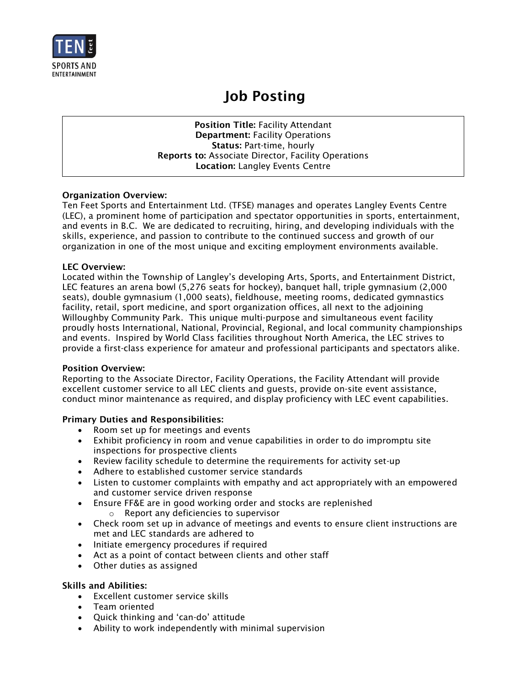

# Job Posting

Position Title: Facility Attendant Department: Facility Operations Status: Part-time, hourly Reports to: Associate Director, Facility Operations Location: Langley Events Centre

## Organization Overview:

Ten Feet Sports and Entertainment Ltd. (TFSE) manages and operates Langley Events Centre (LEC), a prominent home of participation and spectator opportunities in sports, entertainment, and events in B.C. We are dedicated to recruiting, hiring, and developing individuals with the skills, experience, and passion to contribute to the continued success and growth of our organization in one of the most unique and exciting employment environments available.

## LEC Overview:

Located within the Township of Langley's developing Arts, Sports, and Entertainment District, LEC features an arena bowl (5,276 seats for hockey), banquet hall, triple gymnasium (2,000 seats), double gymnasium (1,000 seats), fieldhouse, meeting rooms, dedicated gymnastics facility, retail, sport medicine, and sport organization offices, all next to the adjoining Willoughby Community Park. This unique multi-purpose and simultaneous event facility proudly hosts International, National, Provincial, Regional, and local community championships and events. Inspired by World Class facilities throughout North America, the LEC strives to provide a first-class experience for amateur and professional participants and spectators alike.

#### Position Overview:

Reporting to the Associate Director, Facility Operations, the Facility Attendant will provide excellent customer service to all LEC clients and guests, provide on-site event assistance, conduct minor maintenance as required, and display proficiency with LEC event capabilities.

## Primary Duties and Responsibilities:

- Room set up for meetings and events
- Exhibit proficiency in room and venue capabilities in order to do impromptu site inspections for prospective clients
- Review facility schedule to determine the requirements for activity set-up
- Adhere to established customer service standards
- Listen to customer complaints with empathy and act appropriately with an empowered and customer service driven response
- Ensure FF&E are in good working order and stocks are replenished o Report any deficiencies to supervisor
- Check room set up in advance of meetings and events to ensure client instructions are met and LEC standards are adhered to
- Initiate emergency procedures if required
- Act as a point of contact between clients and other staff
- Other duties as assigned

#### Skills and Abilities:

- Excellent customer service skills
- Team oriented
- Quick thinking and 'can-do' attitude
- Ability to work independently with minimal supervision